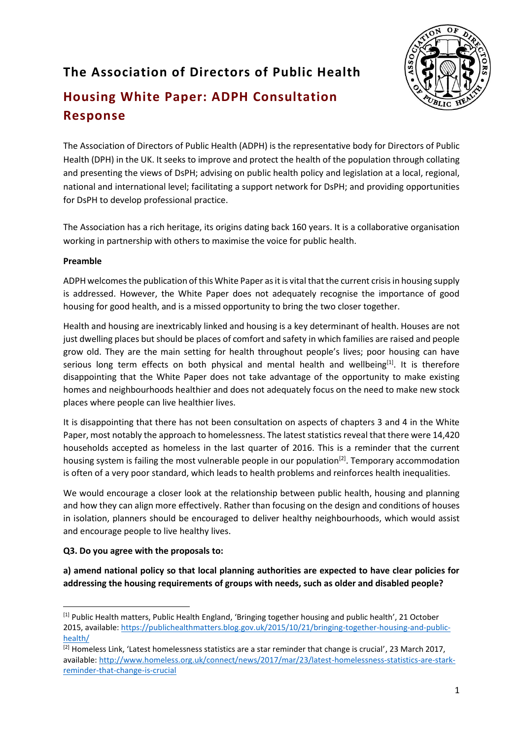## **The Association of Directors of Public Health**



# **Housing White Paper: ADPH Consultation Response**

The Association of Directors of Public Health (ADPH) is the representative body for Directors of Public Health (DPH) in the UK. It seeks to improve and protect the health of the population through collating and presenting the views of DsPH; advising on public health policy and legislation at a local, regional, national and international level; facilitating a support network for DsPH; and providing opportunities for DsPH to develop professional practice.

The Association has a rich heritage, its origins dating back 160 years. It is a collaborative organisation working in partnership with others to maximise the voice for public health.

#### **Preamble**

ADPH welcomes the publication of this White Paper as it is vital that the current crisis in housing supply is addressed. However, the White Paper does not adequately recognise the importance of good housing for good health, and is a missed opportunity to bring the two closer together.

Health and housing are inextricably linked and housing is a key determinant of health. Houses are not just dwelling places but should be places of comfort and safety in which families are raised and people grow old. They are the main setting for health throughout people's lives; poor housing can have serious long term effects on both physical and mental health and wellbeing<sup>[1]</sup>. It is therefore disappointing that the White Paper does not take advantage of the opportunity to make existing homes and neighbourhoods healthier and does not adequately focus on the need to make new stock places where people can live healthier lives.

It is disappointing that there has not been consultation on aspects of chapters 3 and 4 in the White Paper, most notably the approach to homelessness. The latest statistics reveal that there were 14,420 households accepted as homeless in the last quarter of 2016. This is a reminder that the current housing system is failing the most vulnerable people in our population<sup>[2]</sup>. Temporary accommodation is often of a very poor standard, which leads to health problems and reinforces health inequalities.

We would encourage a closer look at the relationship between public health, housing and planning and how they can align more effectively. Rather than focusing on the design and conditions of houses in isolation, planners should be encouraged to deliver healthy neighbourhoods, which would assist and encourage people to live healthy lives.

## **Q3. Do you agree with the proposals to:**

**a) amend national policy so that local planning authorities are expected to have clear policies for addressing the housing requirements of groups with needs, such as older and disabled people?**

**<sup>.</sup>** [1] Public Health matters, Public Health England, 'Bringing together housing and public health', 21 October 2015, available: [https://publichealthmatters.blog.gov.uk/2015/10/21/bringing-together-housing-and-public](https://publichealthmatters.blog.gov.uk/2015/10/21/bringing-together-housing-and-public-health/)[health/](https://publichealthmatters.blog.gov.uk/2015/10/21/bringing-together-housing-and-public-health/)

<sup>[2]</sup> Homeless Link, 'Latest homelessness statistics are a star reminder that change is crucial', 23 March 2017, available: [http://www.homeless.org.uk/connect/news/2017/mar/23/latest-homelessness-statistics-are-stark](http://www.homeless.org.uk/connect/news/2017/mar/23/latest-homelessness-statistics-are-stark-reminder-that-change-is-crucial)[reminder-that-change-is-crucial](http://www.homeless.org.uk/connect/news/2017/mar/23/latest-homelessness-statistics-are-stark-reminder-that-change-is-crucial)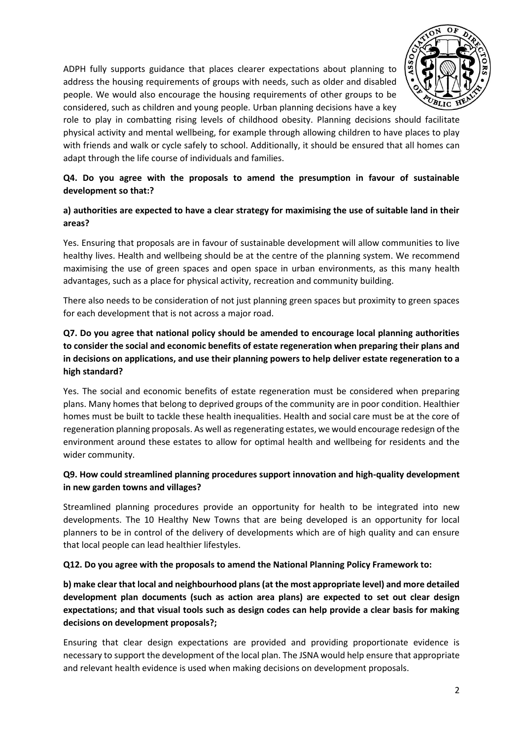

ADPH fully supports guidance that places clearer expectations about planning to address the housing requirements of groups with needs, such as older and disabled people. We would also encourage the housing requirements of other groups to be considered, such as children and young people. Urban planning decisions have a key

role to play in combatting rising levels of childhood obesity. Planning decisions should facilitate physical activity and mental wellbeing, for example through allowing children to have places to play with friends and walk or cycle safely to school. Additionally, it should be ensured that all homes can adapt through the life course of individuals and families.

#### **Q4. Do you agree with the proposals to amend the presumption in favour of sustainable development so that:?**

#### **a) authorities are expected to have a clear strategy for maximising the use of suitable land in their areas?**

Yes. Ensuring that proposals are in favour of sustainable development will allow communities to live healthy lives. Health and wellbeing should be at the centre of the planning system. We recommend maximising the use of green spaces and open space in urban environments, as this many health advantages, such as a place for physical activity, recreation and community building.

There also needs to be consideration of not just planning green spaces but proximity to green spaces for each development that is not across a major road.

#### **Q7. Do you agree that national policy should be amended to encourage local planning authorities to consider the social and economic benefits of estate regeneration when preparing their plans and in decisions on applications, and use their planning powers to help deliver estate regeneration to a high standard?**

Yes. The social and economic benefits of estate regeneration must be considered when preparing plans. Many homes that belong to deprived groups of the community are in poor condition. Healthier homes must be built to tackle these health inequalities. Health and social care must be at the core of regeneration planning proposals. As well as regenerating estates, we would encourage redesign of the environment around these estates to allow for optimal health and wellbeing for residents and the wider community.

#### **Q9. How could streamlined planning procedures support innovation and high-quality development in new garden towns and villages?**

Streamlined planning procedures provide an opportunity for health to be integrated into new developments. The 10 Healthy New Towns that are being developed is an opportunity for local planners to be in control of the delivery of developments which are of high quality and can ensure that local people can lead healthier lifestyles.

#### **Q12. Do you agree with the proposals to amend the National Planning Policy Framework to:**

**b) make clear that local and neighbourhood plans (at the most appropriate level) and more detailed development plan documents (such as action area plans) are expected to set out clear design expectations; and that visual tools such as design codes can help provide a clear basis for making decisions on development proposals?;**

Ensuring that clear design expectations are provided and providing proportionate evidence is necessary to support the development of the local plan. The JSNA would help ensure that appropriate and relevant health evidence is used when making decisions on development proposals.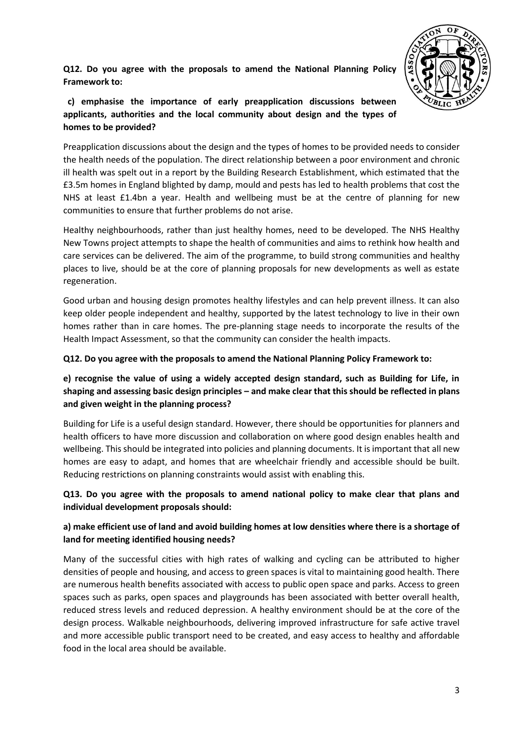**Q12. Do you agree with the proposals to amend the National Planning Policy Framework to:**



 **c) emphasise the importance of early preapplication discussions between applicants, authorities and the local community about design and the types of homes to be provided?** 

Preapplication discussions about the design and the types of homes to be provided needs to consider the health needs of the population. The direct relationship between a poor environment and chronic ill health was spelt out in a report by the Building Research Establishment, which estimated that the £3.5m homes in England blighted by damp, mould and pests has led to health problems that cost the NHS at least £1.4bn a year. Health and wellbeing must be at the centre of planning for new communities to ensure that further problems do not arise.

Healthy neighbourhoods, rather than just healthy homes, need to be developed. The NHS Healthy New Towns project attempts to shape the health of communities and aims to rethink how health and care services can be delivered. The aim of the programme, to build strong communities and healthy places to live, should be at the core of planning proposals for new developments as well as estate regeneration.

Good urban and housing design promotes healthy lifestyles and can help prevent illness. It can also keep older people independent and healthy, supported by the latest technology to live in their own homes rather than in care homes. The pre-planning stage needs to incorporate the results of the Health Impact Assessment, so that the community can consider the health impacts.

**Q12. Do you agree with the proposals to amend the National Planning Policy Framework to:**

## **e) recognise the value of using a widely accepted design standard, such as Building for Life, in shaping and assessing basic design principles – and make clear that this should be reflected in plans and given weight in the planning process?**

Building for Life is a useful design standard. However, there should be opportunities for planners and health officers to have more discussion and collaboration on where good design enables health and wellbeing. This should be integrated into policies and planning documents. It is important that all new homes are easy to adapt, and homes that are wheelchair friendly and accessible should be built. Reducing restrictions on planning constraints would assist with enabling this.

## **Q13. Do you agree with the proposals to amend national policy to make clear that plans and individual development proposals should:**

## **a) make efficient use of land and avoid building homes at low densities where there is a shortage of land for meeting identified housing needs?**

Many of the successful cities with high rates of walking and cycling can be attributed to higher densities of people and housing, and access to green spaces is vital to maintaining good health. There are numerous health benefits associated with access to public open space and parks. Access to green spaces such as parks, open spaces and playgrounds has been associated with better overall health, reduced stress levels and reduced depression. A healthy environment should be at the core of the design process. Walkable neighbourhoods, delivering improved infrastructure for safe active travel and more accessible public transport need to be created, and easy access to healthy and affordable food in the local area should be available.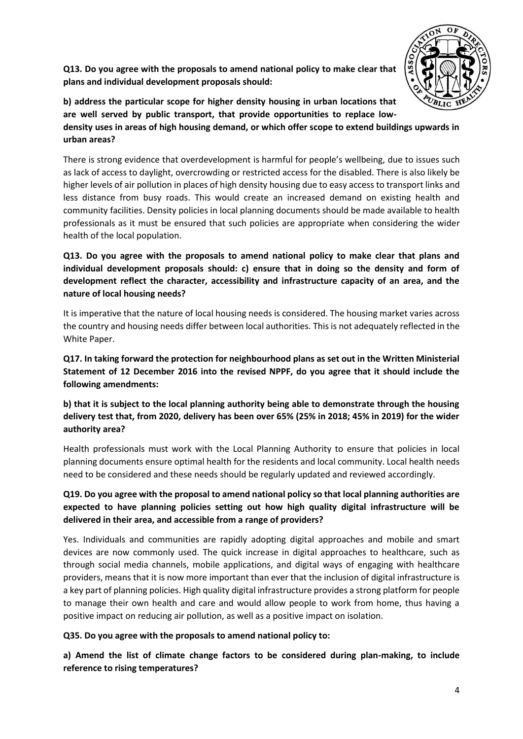

**Q13. Do you agree with the proposals to amend national policy to make clear that plans and individual development proposals should:**

**b) address the particular scope for higher density housing in urban locations that are well served by public transport, that provide opportunities to replace lowdensity uses in areas of high housing demand, or which offer scope to extend buildings upwards in urban areas?**

There is strong evidence that overdevelopment is harmful for people's wellbeing, due to issues such as lack of access to daylight, overcrowding or restricted access for the disabled. There is also likely be higher levels of air pollution in places of high density housing due to easy access to transport links and less distance from busy roads. This would create an increased demand on existing health and community facilities. Density policies in local planning documents should be made available to health professionals as it must be ensured that such policies are appropriate when considering the wider health of the local population.

## **Q13. Do you agree with the proposals to amend national policy to make clear that plans and individual development proposals should: c) ensure that in doing so the density and form of development reflect the character, accessibility and infrastructure capacity of an area, and the nature of local housing needs?**

It is imperative that the nature of local housing needs is considered. The housing market varies across the country and housing needs differ between local authorities. This is not adequately reflected in the White Paper.

**Q17. In taking forward the protection for neighbourhood plans as set out in the Written Ministerial Statement of 12 December 2016 into the revised NPPF, do you agree that it should include the following amendments:**

**b) that it is subject to the local planning authority being able to demonstrate through the housing delivery test that, from 2020, delivery has been over 65% (25% in 2018; 45% in 2019) for the wider authority area?** 

Health professionals must work with the Local Planning Authority to ensure that policies in local planning documents ensure optimal health for the residents and local community. Local health needs need to be considered and these needs should be regularly updated and reviewed accordingly.

## **Q19. Do you agree with the proposal to amend national policy so that local planning authorities are expected to have planning policies setting out how high quality digital infrastructure will be delivered in their area, and accessible from a range of providers?**

Yes. Individuals and communities are rapidly adopting digital approaches and mobile and smart devices are now commonly used. The quick increase in digital approaches to healthcare, such as through social media channels, mobile applications, and digital ways of engaging with healthcare providers, means that it is now more important than ever that the inclusion of digital infrastructure is a key part of planning policies. High quality digital infrastructure provides a strong platform for people to manage their own health and care and would allow people to work from home, thus having a positive impact on reducing air pollution, as well as a positive impact on isolation.

#### **Q35. Do you agree with the proposals to amend national policy to:**

**a) Amend the list of climate change factors to be considered during plan-making, to include reference to rising temperatures?**